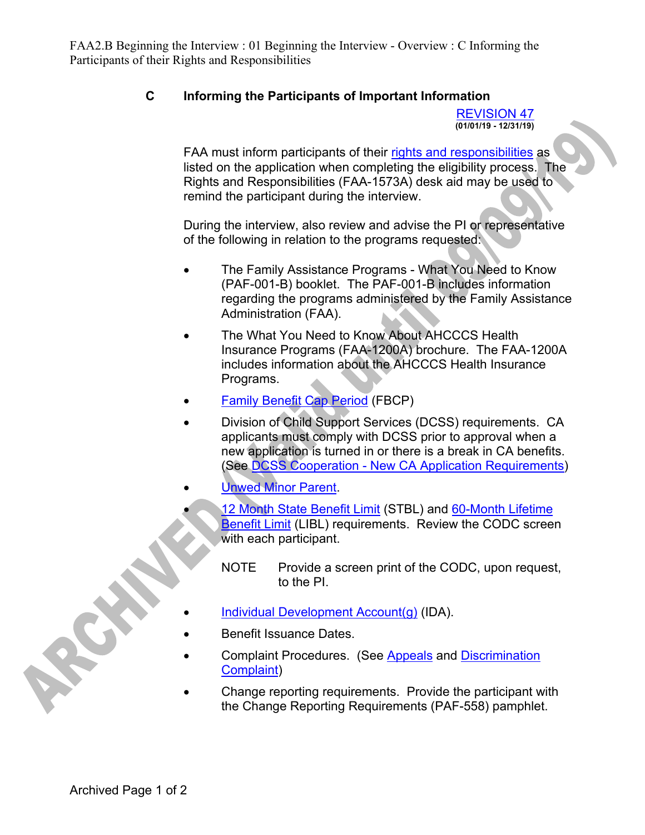FAA2.B Beginning the Interview : 01 Beginning the Interview - Overview : C Informing the Participants of their Rights and Responsibilities

## **C Informing the Participants of Important Information**

REVISION 47 **(01/01/19 - 12/31/19)** 

FAA must inform participants of their rights and responsibilities as listed on the application when completing the eligibility process. The Rights and Responsibilities (FAA-1573A) desk aid may be used to remind the participant during the interview.

During the interview, also review and advise the PI or representative of the following in relation to the programs requested:

- The Family Assistance Programs What You Need to Know (PAF-001-B) booklet. The PAF-001-B includes information regarding the programs administered by the Family Assistance Administration (FAA).
- The What You Need to Know About AHCCCS Health Insurance Programs (FAA-1200A) brochure. The FAA-1200A includes information about the AHCCCS Health Insurance Programs.
- Family Benefit Cap Period (FBCP)
- Division of Child Support Services (DCSS) requirements. CA applicants must comply with DCSS prior to approval when a new application is turned in or there is a break in CA benefits. (See DCSS Cooperation - New CA Application Requirements)
- Unwed Minor Parent.
	- 12 Month State Benefit Limit (STBL) and 60-Month Lifetime Benefit Limit (LIBL) requirements. Review the CODC screen with each participant.
		- NOTE Provide a screen print of the CODC, upon request, to the PI.
- Individual Development Account(g) (IDA).
- Benefit Issuance Dates.
- Complaint Procedures. (See Appeals and Discrimination Complaint)
- Change reporting requirements. Provide the participant with the Change Reporting Requirements (PAF-558) pamphlet.